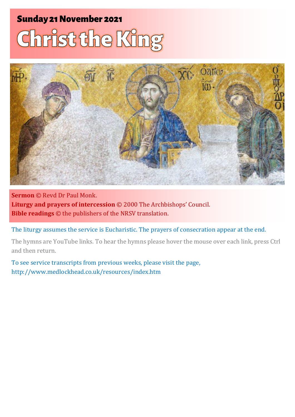# **Sunday 21 November 2021** Christ the King



**Sermon** © Revd Dr Paul Monk. **Liturgy and prayers of intercession** © 2000 The Archbishops' Council. **Bible readings** © the publishers of the NRSV translation.

The liturgy assumes the service is Eucharistic. The prayers of consecration appear at the end.

The hymns are YouTube links. To hear the hymns please hover the mouse over each link, press Ctrl and then return.

To see service transcripts from previous weeks, please visit the page, <http://www.medlockhead.co.uk/resources/index.htm>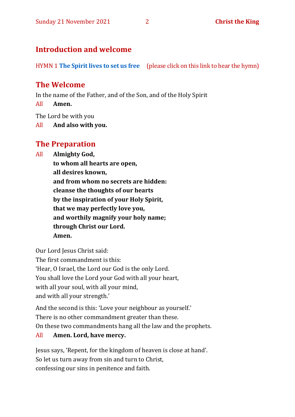#### **Introduction and welcome**

HYMN 1 **[The Spirit lives to set us free](https://www.youtube.com/watch?v=8CumpuwbWv4)** (please click on this link to hear the hymn)

### **The Welcome**

In the name of the Father, and of the Son, and of the Holy Spirit

All **Amen.**

The Lord be with you

All **And also with you.**

### **The Preparation**

- All **Almighty God,**
	- **to whom all hearts are open, all desires known, and from whom no secrets are hidden: cleanse the thoughts of our hearts by the inspiration of your Holy Spirit, that we may perfectly love you, and worthily magnify your holy name; through Christ our Lord. Amen.**

Our Lord Jesus Christ said: The first commandment is this: 'Hear, O Israel, the Lord our God is the only Lord. You shall love the Lord your God with all your heart, with all your soul, with all your mind, and with all your strength.'

And the second is this: 'Love your neighbour as yourself.' There is no other commandment greater than these. On these two commandments hang all the law and the prophets.

#### All **Amen. Lord, have mercy.**

Jesus says, 'Repent, for the kingdom of heaven is close at hand'. So let us turn away from sin and turn to Christ, confessing our sins in penitence and faith.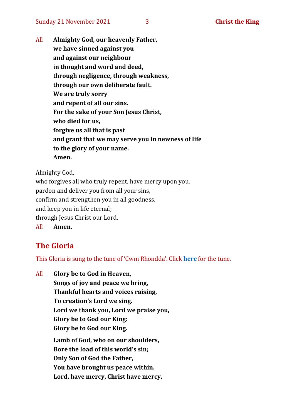All **Almighty God, our heavenly Father, we have sinned against you and against our neighbour in thought and word and deed, through negligence, through weakness, through our own deliberate fault. We are truly sorry and repent of all our sins. For the sake of your Son Jesus Christ, who died for us, forgive us all that is past and grant that we may serve you in newness of life to the glory of your name. Amen.**

Almighty God,

who forgives all who truly repent, have mercy upon you, pardon and deliver you from all your sins, confirm and strengthen you in all goodness, and keep you in life eternal; through Jesus Christ our Lord. All **Amen.**

#### **The Gloria**

This Gloria is sung to the tune of 'Cwm Rhondda'. Click **[here](about:blank)** for the tune.

All **Glory be to God in Heaven, Songs of joy and peace we bring, Thankful hearts and voices raising, To creation's Lord we sing. Lord we thank you, Lord we praise you, Glory be to God our King: Glory be to God our King. Lamb of God, who on our shoulders, Bore the load of this world's sin; Only Son of God the Father, You have brought us peace within. Lord, have mercy, Christ have mercy,**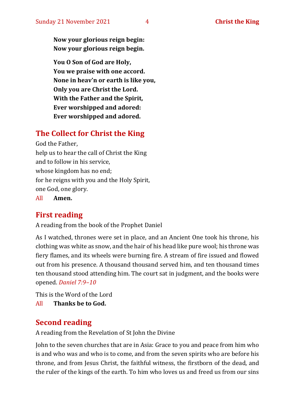**Now your glorious reign begin: Now your glorious reign begin.**

**You O Son of God are Holy, You we praise with one accord. None in heav'n or earth is like you, Only you are Christ the Lord. With the Father and the Spirit, Ever worshipped and adored: Ever worshipped and adored.**

#### **The Collect for Christ the King**

God the Father, help us to hear the call of Christ the King and to follow in his service, whose kingdom has no end; for he reigns with you and the Holy Spirit, one God, one glory.

All **Amen.**

#### **First reading**

A reading from the book of the Prophet Daniel

As I watched, thrones were set in place, and an Ancient One took his throne, his clothing was white as snow, and the hair of his head like pure wool; his throne was fiery flames, and its wheels were burning fire. A stream of fire issued and flowed out from his presence. A thousand thousand served him, and ten thousand times ten thousand stood attending him. The court sat in judgment, and the books were opened. *Daniel 7:9–10*

This is the Word of the Lord

All **Thanks be to God.**

#### **Second reading**

A reading from the Revelation of St John the Divine

John to the seven churches that are in Asia: Grace to you and peace from him who is and who was and who is to come, and from the seven spirits who are before his throne, and from Jesus Christ, the faithful witness, the firstborn of the dead, and the ruler of the kings of the earth. To him who loves us and freed us from our sins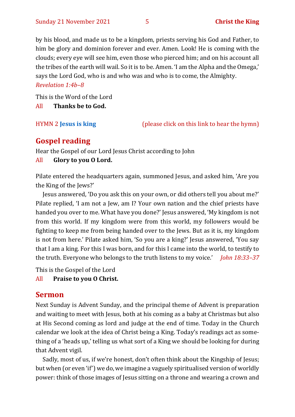by his blood, and made us to be a kingdom, priests serving his God and Father, to him be glory and dominion forever and ever. Amen. Look! He is coming with the clouds; every eye will see him, even those who pierced him; and on his account all the tribes of the earth will wail. So it is to be. Amen. 'I am the Alpha and the Omega,' says the Lord God, who is and who was and who is to come, the Almighty.

#### *Revelation 1:4b–8*

This is the Word of the Lord

All **Thanks be to God.**

HYMN 2 **[Jesus is king](https://www.youtube.com/watch?v=TP-6_UFCJqc)** (please click on this link to hear the hymn)

#### **Gospel reading**

Hear the Gospel of our Lord Jesus Christ according to John

All **Glory to you O Lord.**

Pilate entered the headquarters again, summoned Jesus, and asked him, 'Are you the King of the Jews?'

Jesus answered, 'Do you ask this on your own, or did others tell you about me?' Pilate replied, 'I am not a Jew, am I? Your own nation and the chief priests have handed you over to me. What have you done?' Jesus answered, 'My kingdom is not from this world. If my kingdom were from this world, my followers would be fighting to keep me from being handed over to the Jews. But as it is, my kingdom is not from here.' Pilate asked him, 'So you are a king?' Jesus answered, 'You say that I am a king. For this I was born, and for this I came into the world, to testify to the truth. Everyone who belongs to the truth listens to my voice.' *John 18:33–37*

This is the Gospel of the Lord

All **Praise to you O Christ.** 

#### **Sermon**

Next Sunday is Advent Sunday, and the principal theme of Advent is preparation and waiting to meet with Jesus, both at his coming as a baby at Christmas but also at His Second coming as lord and judge at the end of time. Today in the Church calendar we look at the idea of Christ being a King. Today's readings act as something of a 'heads up,' telling us what sort of a King we should be looking for during that Advent vigil.

Sadly, most of us, if we're honest, don't often think about the Kingship of Jesus; but when (or even 'if') we do, we imagine a vaguely spiritualised version of worldly power: think of those images of Jesus sitting on a throne and wearing a crown and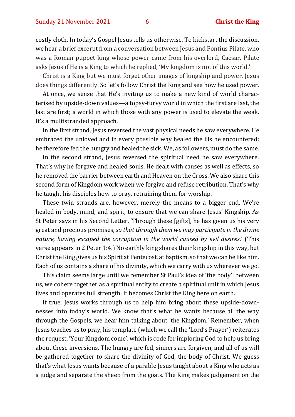costly cloth. In today's Gospel Jesus tells us otherwise. To kickstart the discussion, we hear a brief excerpt from a conversation between Jesus and Pontius Pilate, who was a Roman puppet-king whose power came from his overlord, Caesar. Pilate asks Jesus if He is a King to which he replied, 'My kingdom is not of this world.'

Christ is a King but we must forget other images of kingship and power. Jesus does things differently. So let's follow Christ the King and see how he used power.

At once, we sense that He's inviting us to make a new kind of world characterised by upside-down values—a topsy-turvy world in which the first are last, the last are first; a world in which those with any power is used to elevate the weak. It's a multistranded approach.

In the first strand, Jesus reversed the vast physical needs he saw everywhere. He embraced the unloved and in every possible way healed the ills he encountered: he therefore fed the hungry and healed the sick. We, as followers, must do the same.

In the second strand, Jesus reversed the spiritual need he saw everywhere. That's why he forgave and healed souls. He dealt with causes as well as effects, so he removed the barrier between earth and Heaven on the Cross. We also share this second form of Kingdom work when we forgive and refuse retribution. That's why he taught his disciples how to pray, retraining them for worship.

These twin strands are, however, merely the means to a bigger end. We're healed in body, mind, and spirit, to ensure that we can share Jesus' Kingship. As St Peter says in his Second Letter, 'Through these [gifts], he has given us his very great and precious promises, *so that through them we may participate in the divine nature, having escaped the corruption in the world caused by evil desires*.' (This verse appears in 2 Peter 1:4.) No earthly king shares their kingship in this way, but Christ the King gives us his Spirit at Pentecost, at baptism, so that we can be like him. Each of us contains a share of his divinity, which we carry with us wherever we go.

This claim seems large until we remember St Paul's idea of 'the body': between us, we cohere together as a spiritual entity to create a spiritual unit in which Jesus lives and operates full strength. It becomes Christ the King here on earth.

If true, Jesus works through us to help him bring about these upside-downnesses into today's world. We know that's what he wants because all the way through the Gospels, we hear him talking about 'the Kingdom.' Remember, when Jesus teaches us to pray, his template (which we call the 'Lord's Prayer') reiterates the request, 'Your Kingdom come', which is code for imploring God to help us bring about these inversions. The hungry are fed, sinners are forgiven, and all of us will be gathered together to share the divinity of God, the body of Christ. We guess that's what Jesus wants because of a parable Jesus taught about a King who acts as a judge and separate the sheep from the goats. The King makes judgement on the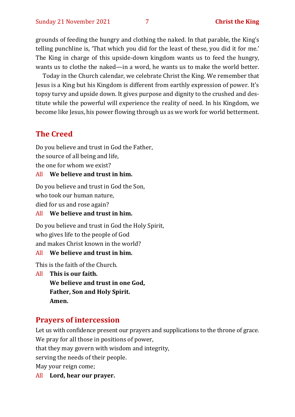grounds of feeding the hungry and clothing the naked. In that parable, the King's telling punchline is, 'That which you did for the least of these, you did it for me.' The King in charge of this upside-down kingdom wants us to feed the hungry, wants us to clothe the naked—in a word, he wants us to make the world better.

Today in the Church calendar, we celebrate Christ the King. We remember that Jesus is a King but his Kingdom is different from earthly expression of power. It's topsy turvy and upside down. It gives purpose and dignity to the crushed and destitute while the powerful will experience the reality of need. In his Kingdom, we become like Jesus, his power flowing through us as we work for world betterment.

#### **The Creed**

Do you believe and trust in God the Father, the source of all being and life, the one for whom we exist?

#### All **We believe and trust in him.**

Do you believe and trust in God the Son, who took our human nature, died for us and rose again?

#### All **We believe and trust in him.**

Do you believe and trust in God the Holy Spirit, who gives life to the people of God and makes Christ known in the world?

#### All **We believe and trust in him.**

This is the faith of the Church.

All **This is our faith. We believe and trust in one God, Father, Son and Holy Spirit. Amen.**

#### **Prayers of intercession**

Let us with confidence present our prayers and supplications to the throne of grace. We pray for all those in positions of power, that they may govern with wisdom and integrity, serving the needs of their people. May your reign come; All **Lord, hear our prayer.**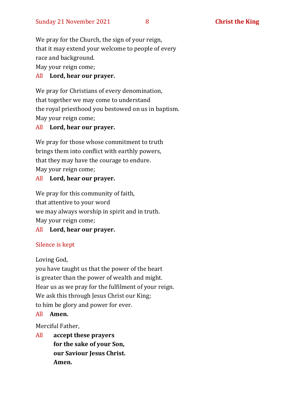We pray for the Church, the sign of your reign, that it may extend your welcome to people of every race and background.

May your reign come;

#### All **Lord, hear our prayer.**

We pray for Christians of every denomination, that together we may come to understand the royal priesthood you bestowed on us in baptism. May your reign come;

#### All **Lord, hear our prayer.**

We pray for those whose commitment to truth brings them into conflict with earthly powers, that they may have the courage to endure. May your reign come;

#### All **Lord, hear our prayer.**

We pray for this community of faith, that attentive to your word we may always worship in spirit and in truth. May your reign come;

#### All **Lord, hear our prayer.**

#### Silence is kept

Loving God,

you have taught us that the power of the heart is greater than the power of wealth and might. Hear us as we pray for the fulfilment of your reign. We ask this through Jesus Christ our King; to him be glory and power for ever.

#### All **Amen.**

Merciful Father,

All **accept these prayers for the sake of your Son, our Saviour Jesus Christ. Amen.**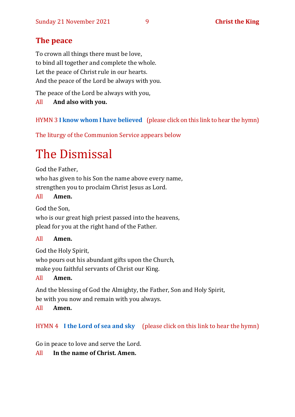#### **The peace**

To crown all things there must be love, to bind all together and complete the whole. Let the peace of Christ rule in our hearts. And the peace of the Lord be always with you.

The peace of the Lord be always with you,

#### All **And also with you.**

#### HYMN 3 **[I know whom I have believed](https://www.youtube.com/watch?v=_bRV3J4n8cc)** (please click on this link to hear the hymn)

The liturgy of the Communion Service appears below

# The Dismissal

God the Father,

who has given to his Son the name above every name, strengthen you to proclaim Christ Jesus as Lord.

#### All **Amen.**

God the Son,

who is our great high priest passed into the heavens, plead for you at the right hand of the Father.

#### All **Amen.**

God the Holy Spirit, who pours out his abundant gifts upon the Church, make you faithful servants of Christ our King.

All **Amen.**

And the blessing of God the Almighty, the Father, Son and Holy Spirit, be with you now and remain with you always.

#### All **Amen.**

#### HYMN 4 **[I the Lord of sea and sky](https://www.youtube.com/watch?v=2zr9SMm1glI)** (please click on this link to hear the hymn)

Go in peace to love and serve the Lord.

#### All **In the name of Christ. Amen.**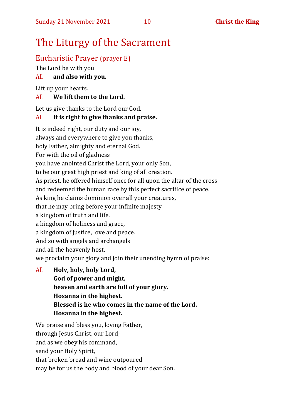## The Liturgy of the Sacrament

#### Eucharistic Prayer (prayer E)

The Lord be with you

#### All **and also with you.**

Lift up your hearts.

#### All **We lift them to the Lord.**

Let us give thanks to the Lord our God.

#### All **It is right to give thanks and praise.**

It is indeed right, our duty and our joy,

always and everywhere to give you thanks,

holy Father, almighty and eternal God.

For with the oil of gladness

you have anointed Christ the Lord, your only Son,

to be our great high priest and king of all creation.

As priest, he offered himself once for all upon the altar of the cross

and redeemed the human race by this perfect sacrifice of peace.

As king he claims dominion over all your creatures,

that he may bring before your infinite majesty

a kingdom of truth and life,

a kingdom of holiness and grace,

a kingdom of justice, love and peace.

And so with angels and archangels

and all the heavenly host,

we proclaim your glory and join their unending hymn of praise:

All **Holy, holy, holy Lord, God of power and might, heaven and earth are full of your glory. Hosanna in the highest. Blessed is he who comes in the name of the Lord. Hosanna in the highest.**

We praise and bless you, loving Father, through Jesus Christ, our Lord; and as we obey his command, send your Holy Spirit, that broken bread and wine outpoured may be for us the body and blood of your dear Son.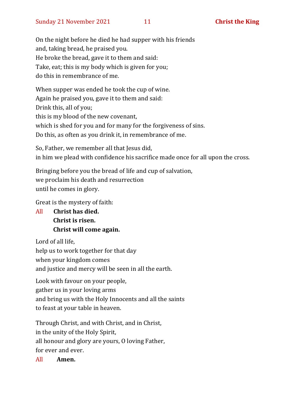On the night before he died he had supper with his friends and, taking bread, he praised you. He broke the bread, gave it to them and said: Take, eat; this is my body which is given for you; do this in remembrance of me.

When supper was ended he took the cup of wine. Again he praised you, gave it to them and said: Drink this, all of you; this is my blood of the new covenant, which is shed for you and for many for the forgiveness of sins. Do this, as often as you drink it, in remembrance of me.

So, Father, we remember all that Jesus did, in him we plead with confidence his sacrifice made once for all upon the cross.

Bringing before you the bread of life and cup of salvation, we proclaim his death and resurrection until he comes in glory.

Great is the mystery of faith:

All **Christ has died. Christ is risen. Christ will come again.**

Lord of all life, help us to work together for that day when your kingdom comes and justice and mercy will be seen in all the earth.

Look with favour on your people, gather us in your loving arms and bring us with the Holy Innocents and all the saints to feast at your table in heaven.

Through Christ, and with Christ, and in Christ, in the unity of the Holy Spirit, all honour and glory are yours, O loving Father, for ever and ever.

All **Amen.**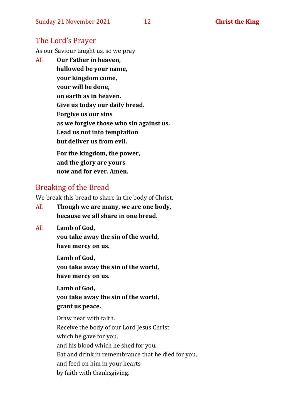#### The Lord's Prayer

As our Saviour taught us, so we pray

All **Our Father in heaven, hallowed be your name, your kingdom come, your will be done, on earth as in heaven. Give us today our daily bread. Forgive us our sins as we forgive those who sin against us. Lead us not into temptation but deliver us from evil. For the kingdom, the power,** 

**and the glory are yours now and for ever. Amen.**

#### Breaking of the Bread

We break this bread to share in the body of Christ.

- All **Though we are many, we are one body, because we all share in one bread.**
- All **Lamb of God,**

**you take away the sin of the world, have mercy on us.**

**Lamb of God, you take away the sin of the world, have mercy on us.**

**Lamb of God, you take away the sin of the world, grant us peace.**

Draw near with faith. Receive the body of our Lord Jesus Christ which he gave for you, and his blood which he shed for you. Eat and drink in remembrance that he died for you, and feed on him in your hearts by faith with thanksgiving.